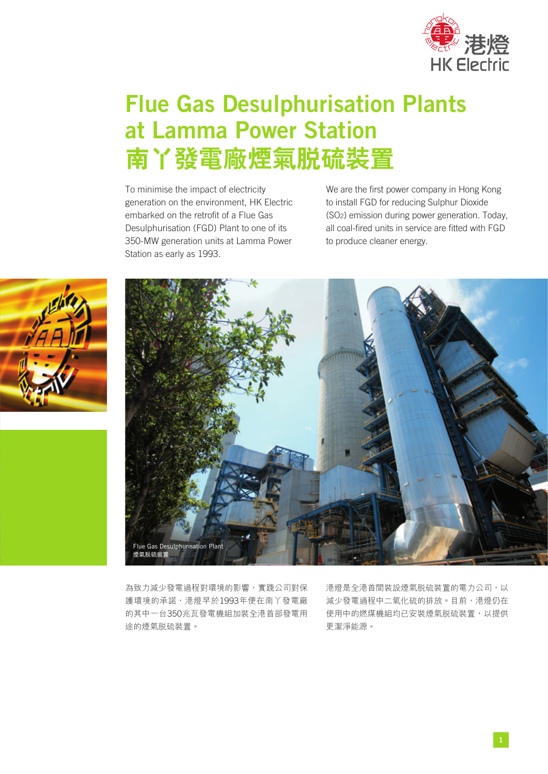

# Flue Gas Desulphurisation Plants at Lamma Power Station **南丫發電廠煙氣脫硫裝置**

To minimise the impact of electricity generation on the environment, HK Electric embarked on the retrofit of a Flue Gas Desulphurisation (FGD) Plant to one of its 350-MW generation units at Lamma Power Station as early as 1993.

We are the first power company in Hong Kong to install FGD for reducing Sulphur Dioxide (SO2) emission during power generation. Today, all coal-fired units in service are fitted with FGD to produce cleaner energy.





為致力減少發電過程對環境的影響,實踐公司對保 護環境的承諾,港燈早於1993年便在南丫發電廠 的其中一台350兆瓦發電機組加裝全港首部發電用 途的煙氣脫硫裝置。

港燈是全港首間裝設煙氣脱硫裝置的電力公司,以 減少發電過程中二氧化硫的排放。目前,港燈仍在 使用中的燃煤機組均已安裝煙氣脱硫裝置,以提供 更潔淨能源。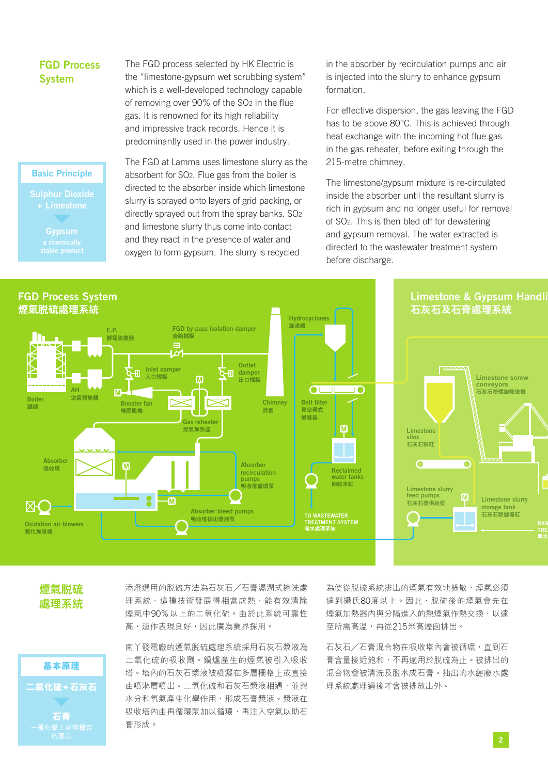### FGD Process **System**

The FGD process selected by HK Electric is the "limestone-gypsum wet scrubbing system" which is a well-developed technology capable of removing over 90% of the SO2 in the flue gas. It is renowned for its high reliability and impressive track records. Hence it is predominantly used in the power industry.

#### Basic Principle

Sulphur Dioxide Gypsum

The FGD at Lamma uses limestone slurry as the absorbent for SO2. Flue gas from the boiler is directed to the absorber inside which limestone slurry is sprayed onto layers of grid packing, or directly sprayed out from the spray banks. SO2 and limestone slurry thus come into contact and they react in the presence of water and oxygen to form gypsum. The slurry is recycled

in the absorber by recirculation pumps and air is injected into the slurry to enhance gypsum formation.

For effective dispersion, the gas leaving the FGD has to be above 80°C. This is achieved through heat exchange with the incoming hot flue gas in the gas reheater, before exiting through the 215-metre chimney.

The limestone/gypsum mixture is re-circulated inside the absorber until the resultant slurry is rich in gypsum and no longer useful for removal of SO2. This is then bled off for dewatering and gypsum removal. The water extracted is directed to the wastewater treatment system before discharge.



**煙氣脫硫 處理系統**

**基本原理**

**二氧化硫+石灰石 石膏 一種化學上非常穩定 的產品**

港燈選用的脫硫方法為石灰石╱石膏濕潤式擦洗處 理系統,這種技術發展得相當成熟,能有效清除 煙氣中90%以上的二氧化硫。由於此系統可靠性 高,運作表現良好,因此廣為業界採用。

南丫發電廠的煙氣脫硫處理系統採用石灰石漿液為 二氧化硫的吸收劑。鍋爐產生的煙氣被引入吸收 塔。塔內的石灰石漿液被噴灑在多層柵格上或直接 由噴淋層噴出。二氧化硫和石灰石漿液相遇,並與 水分和氧氣產生化學作用,形成石膏漿液。漿液在 吸收塔內由再循環泵加以循環,再注入空氣以助石 膏形成。

為使從脱硫系統排出的煙氣有效地擴散,煙氣必須 達到攝氏80度以上。因此,脫硫後的煙氣會先在 煙氣加熱器內與分隔進入的熱煙氣作熱交換,以達 至所需高溫,再從215米高煙囱排出。

石灰石╱石膏混合物在吸收塔內會被循環,直到石 膏含量接近飽和,不再適用於脫硫為止。被排出的 混合物會被清洗及脫水成石膏。抽出的水經廢水處 理系統處理過後才會被排放出外。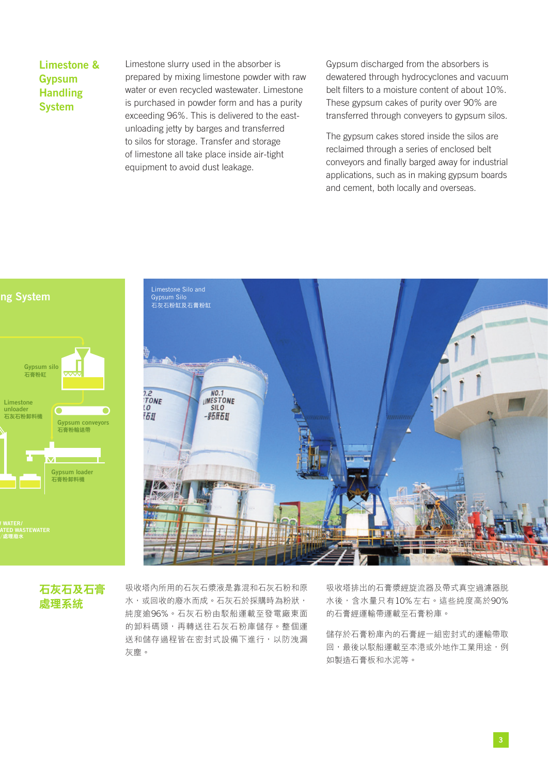Limestone & Gypsum **Handling** System

Limestone slurry used in the absorber is prepared by mixing limestone powder with raw water or even recycled wastewater. Limestone is purchased in powder form and has a purity exceeding 96%. This is delivered to the eastunloading jetty by barges and transferred to silos for storage. Transfer and storage of limestone all take place inside air-tight equipment to avoid dust leakage.

Gypsum discharged from the absorbers is dewatered through hydrocyclones and vacuum belt filters to a moisture content of about 10%. These gypsum cakes of purity over 90% are transferred through conveyers to gypsum silos.

The gypsum cakes stored inside the silos are reclaimed through a series of enclosed belt conveyors and finally barged away for industrial applications, such as in making gypsum boards and cement, both locally and overseas.





## **石灰石及石膏 處理系統**

吸收塔內所用的石灰石漿液是靠混和石灰石粉和原 水,或回收的廢水而成。石灰石於採購時為粉狀, 純度逾96%。石灰石粉由駁船運載至發電廠東面 的卸料碼頭,再轉送往石灰石粉庫儲存。整個運 送和儲存過程皆在密封式設備下進行,以防洩漏 灰塵。

吸收塔排出的石膏漿經旋流器及帶式真空過濾器脫 水後,含水量只有10%左右。這些純度高於90% 的石膏經運輸帶運載至石膏粉庫。

儲存於石膏粉庫內的石膏經一組密封式的運輸帶取 回,最後以駁船運載至本港或外地作工業用途,例 如製造石膏板和水泥等。